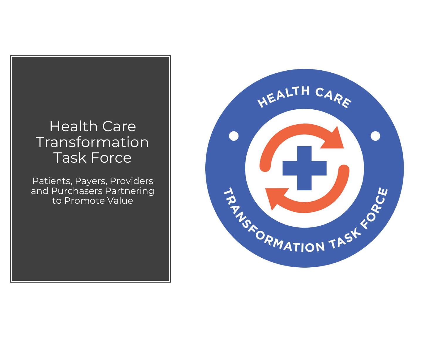#### Health Care Transformation Task Force

Patients, Payers, Providers and Purchasers Partnering to Promote Value

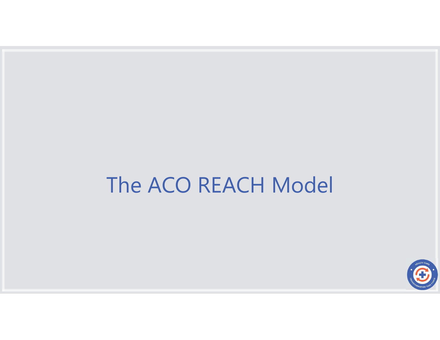# The ACO REACH Model

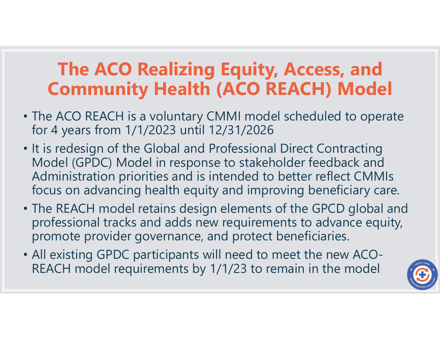# The ACO Realizing Equity, Access, and Community Health (ACO REACH) Model

- The ACO REACH is a voluntary CMMI model scheduled to operate for 4 years from 1/1/2023 until 12/31/2026
- It is redesign of the Global and Professional Direct Contracting Model (GPDC) Model in response to stakeholder feedback and Administration priorities and is intended to better reflect CMMIs focus on advancing health equity and improving beneficiary care.
- The REACH model retains design elements of the GPCD global and professional tracks and adds new requirements to advance equity, promote provider governance, and protect beneficiaries.
- All existing GPDC participants will need to meet the new ACO-REACH model requirements by 1/1/23 to remain in the model

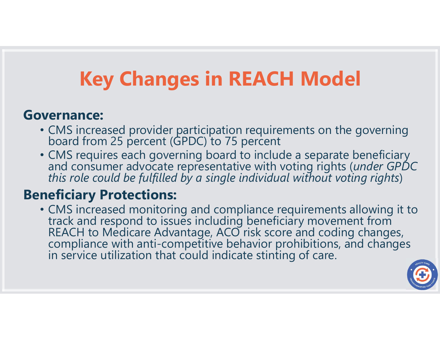# Key Changes in REACH Model

#### Governance:

- CMS increased provider participation requirements on the governing board from 25 percent (GPDC) to 75 percent
- CMS requires each governing board to include a separate beneficiary and consumer advocate representative with voting rights (under GPDC this role could be fulfilled by a single individual without voting rights)

#### Beneficiary Protections:

• CMS increased monitoring and compliance requirements allowing it to<br>track and respond to issues including beneficiary movement from<br>REACH to Medicare Advantage, ACO risk score and coding changes,<br>compliance with anti-com in service utilization that could indicate stinting of care.

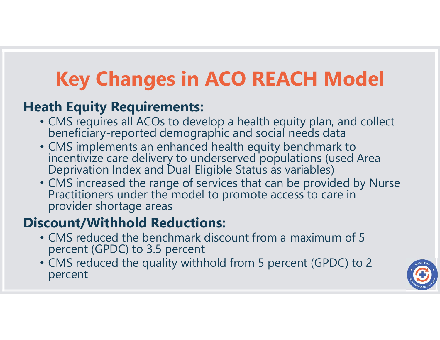# Key Changes in ACO REACH Model

#### Heath Equity Requirements:

- CMS requires all ACOs to develop a health equity plan, and collect beneficiary-reported demographic and social needs data
- CMS implements an enhanced health equity benchmark to incentivize care delivery to underserved populations (used Area Deprivation Index and Dual Eligible Status as variables)
- CMS increased the range of services that can be provided by Nurse Practitioners under the model to promote access to care in provider shortage areas

## Discount/Withhold Reductions:

- CMS reduced the benchmark discount from a maximum of 5 percent (GPDC) to 3.5 percent
- CMS reduced the quality withhold from 5 percent (GPDC) to 2 percent

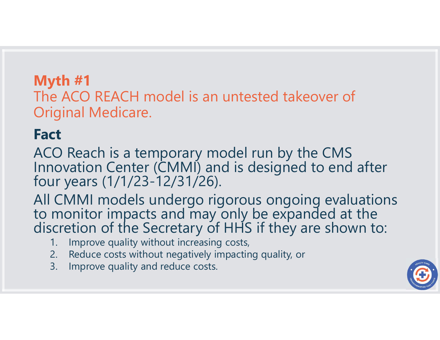#### Myth #1 The ACO REACH model is an untested takeover of Original Medicare.

# Fact

ACO Reach is a temporary model run by the CMS Innovation Center (CMMI) and is designed to end after four years (1/1/23-12/31/26). iginal Medicare.<br>
1. IO Reach is a temporary model run by the cost is a temporary model run by the valuation Center (CMMI) and is designed<br>
1. In years (1/1/23-12/31/26).<br>
CMMI models undergo rigorous ongo<br>
1. Improve qual Example Indian Medicare.<br>
2. Reach is a temporary model run by the CMS<br>
10 Reach is a temporary model run by the CMS<br>
10 Arr years (1/1/23-12/31/26).<br>
2. CMMI models undergo rigorous ongoing evalu<br>
10 monitor impacts and m **CO Reach is a temporary model<br>
Solution Center (CMMI) and is a<br>
ur years (1/1/23-12/31/26).<br>
CMMI models undergo rigorou<br>
monitor impacts and may only<br>
cretion of the Secretary of HHS<br>
1. Improve quality without increasin** 

All CMMI models undergo rigorous ongoing evaluations<br>to monitor impacts and may only be expanded at the<br>discretion of the Secretary of HHS if they are shown to:

- 
- 
- 

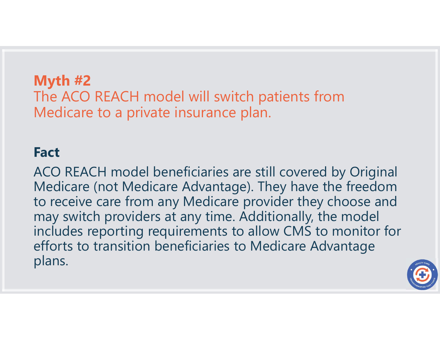#### Myth #2 The ACO REACH model will switch patients from Medicare to a private insurance plan.

#### Fact

ACO REACH model beneficiaries are still covered by Original Medicare (not Medicare Advantage). They have the freedom to receive care from any Medicare provider they choose and may switch providers at any time. Additionally, the model includes reporting requirements to allow CMS to monitor for efforts to transition beneficiaries to Medicare Advantage plans.

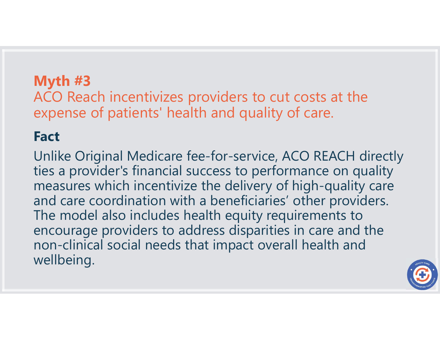ACO Reach incentivizes providers to cut costs at the expense of patients' health and quality of care.

## **Fact**

Unlike Original Medicare fee-for-service, ACO REACH directly ties a provider's financial success to performance on quality measures which incentivize the delivery of high-quality care and care coordination with a beneficiaries' other providers. The model also includes health equity requirements to encourage providers to address disparities in care and the non-clinical social needs that impact overall health and wellbeing.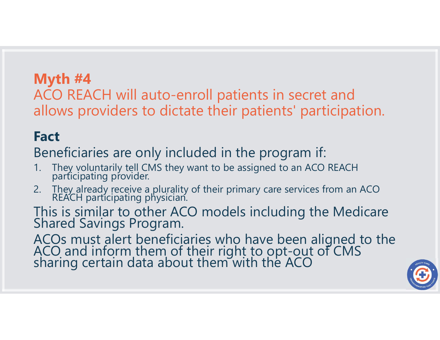ACO REACH will auto-enroll patients in secret and **Myth #4<br>ACO REACH** will auto-enroll patients in secret and<br>allows providers to dictate their patients' participation.<br>Fact **Myth #4**<br>
ACO REACH will auto-enroll patients in secret and<br>
allows providers to dictate their patients' participation<br> **Fact**<br>
Beneficiaries are only included in the program if:<br>
1. They voluntarily tell CMS they want to **Myth #4**<br>ACO REACH will auto-enroll patients in secret and<br>allows providers to dictate their patients' participation.<br>**Fact**<br>Beneficiaries are only included in the program if:<br>1. They yoluntarily tell CMS they want to be

## Fact

Beneficiaries are only included in the program if:

- 
- **1. They voluntarily tell CMS they want to be assigned to an ACO REACH participating provider.**<br>
2. They already receive a plurality of their primary care services from an ACO REACH participating provider.

ACOs must alert beneficiaries who have been aligned to the ACO and inform them of their right to opt-out of CMS sharing certain data about them with the ACO

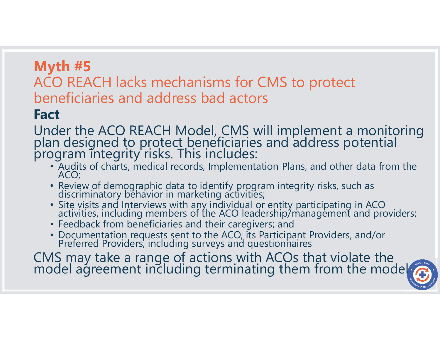## ACO REACH lacks mechanisms for CMS to protect beneficiaries and address bad actors

## Fact

Under the ACO REACH Model, CMS will implement a monitoring plan designed to protect beneficiaries and address potential program integrity risks. This includes:

- Audits of charts, medical records, Implementation Plans, and other data from the ACO;
- Review of demographic data to identify program integrity risks, such as discriminatory behavior in marketing activities;
- Site visits and Interviews with any individual or entity participating in ACO activities, including members of the ACO leadership/management and providers;
- Feedback from beneficiaries and their caregivers; and
- Documentation requests sent to the ACO, its Participant Providers, and/or Preferred Providers, including surveys and questionnaires

CMS may take a range of actions with ACOs that violate the model agreement including terminating them from the model